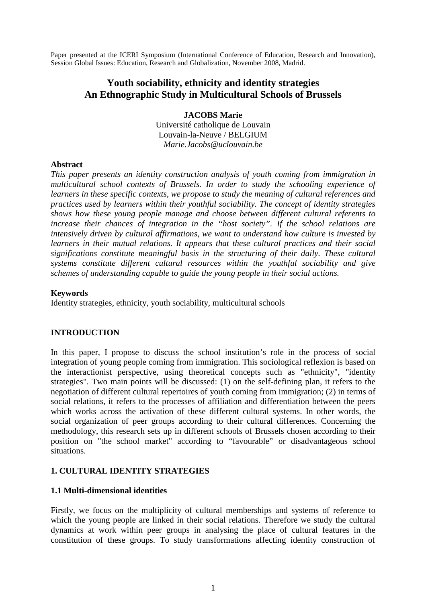Paper presented at the ICERI Symposium (International Conference of Education, Research and Innovation), Session Global Issues: Education, Research and Globalization, November 2008, Madrid.

# **Youth sociability, ethnicity and identity strategies An Ethnographic Study in Multicultural Schools of Brussels**

**JACOBS Marie**  Université catholique de Louvain Louvain-la-Neuve / BELGIUM *Marie.Jacobs@uclouvain.be* 

#### **Abstract**

*This paper presents an identity construction analysis of youth coming from immigration in multicultural school contexts of Brussels. In order to study the schooling experience of learners in these specific contexts, we propose to study the meaning of cultural references and practices used by learners within their youthful sociability. The concept of identity strategies shows how these young people manage and choose between different cultural referents to increase their chances of integration in the "host society". If the school relations are intensively driven by cultural affirmations, we want to understand how culture is invested by learners in their mutual relations. It appears that these cultural practices and their social significations constitute meaningful basis in the structuring of their daily. These cultural systems constitute different cultural resources within the youthful sociability and give schemes of understanding capable to guide the young people in their social actions.* 

#### **Keywords**

Identity strategies, ethnicity, youth sociability, multicultural schools

## **INTRODUCTION**

In this paper, I propose to discuss the school institution's role in the process of social integration of young people coming from immigration. This sociological reflexion is based on the interactionist perspective, using theoretical concepts such as "ethnicity", "identity strategies". Two main points will be discussed: (1) on the self-defining plan, it refers to the negotiation of different cultural repertoires of youth coming from immigration; (2) in terms of social relations, it refers to the processes of affiliation and differentiation between the peers which works across the activation of these different cultural systems. In other words, the social organization of peer groups according to their cultural differences. Concerning the methodology, this research sets up in different schools of Brussels chosen according to their position on "the school market" according to "favourable" or disadvantageous school situations.

## **1. CULTURAL IDENTITY STRATEGIES**

## **1.1 Multi-dimensional identities**

Firstly, we focus on the multiplicity of cultural memberships and systems of reference to which the young people are linked in their social relations. Therefore we study the cultural dynamics at work within peer groups in analysing the place of cultural features in the constitution of these groups. To study transformations affecting identity construction of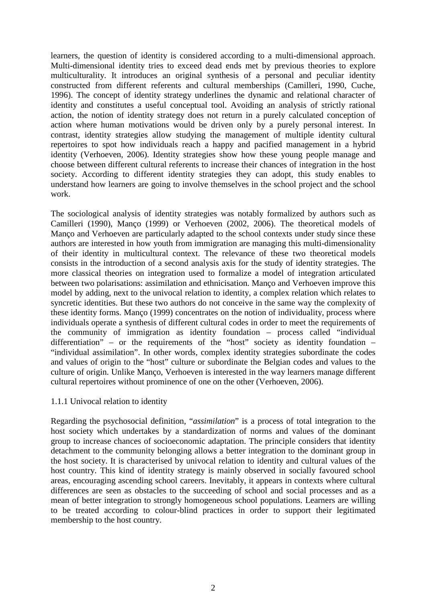learners, the question of identity is considered according to a multi-dimensional approach. Multi-dimensional identity tries to exceed dead ends met by previous theories to explore multiculturality. It introduces an original synthesis of a personal and peculiar identity constructed from different referents and cultural memberships (Camilleri, 1990, Cuche, 1996). The concept of identity strategy underlines the dynamic and relational character of identity and constitutes a useful conceptual tool. Avoiding an analysis of strictly rational action, the notion of identity strategy does not return in a purely calculated conception of action where human motivations would be driven only by a purely personal interest. In contrast, identity strategies allow studying the management of multiple identity cultural repertoires to spot how individuals reach a happy and pacified management in a hybrid identity (Verhoeven, 2006). Identity strategies show how these young people manage and choose between different cultural referents to increase their chances of integration in the host society. According to different identity strategies they can adopt, this study enables to understand how learners are going to involve themselves in the school project and the school work.

The sociological analysis of identity strategies was notably formalized by authors such as Camilleri (1990), Manço (1999) or Verhoeven (2002, 2006). The theoretical models of Manço and Verhoeven are particularly adapted to the school contexts under study since these authors are interested in how youth from immigration are managing this multi-dimensionality of their identity in multicultural context. The relevance of these two theoretical models consists in the introduction of a second analysis axis for the study of identity strategies. The more classical theories on integration used to formalize a model of integration articulated between two polarisations: assimilation and ethnicisation. Manço and Verhoeven improve this model by adding, next to the univocal relation to identity, a complex relation which relates to syncretic identities. But these two authors do not conceive in the same way the complexity of these identity forms. Manço (1999) concentrates on the notion of individuality, process where individuals operate a synthesis of different cultural codes in order to meet the requirements of the community of immigration as identity foundation – process called "individual differentiation" – or the requirements of the "host" society as identity foundation – "individual assimilation". In other words, complex identity strategies subordinate the codes and values of origin to the "host" culture or subordinate the Belgian codes and values to the culture of origin. Unlike Manço, Verhoeven is interested in the way learners manage different cultural repertoires without prominence of one on the other (Verhoeven, 2006).

## 1.1.1 Univocal relation to identity

Regarding the psychosocial definition, "*assimilation*" is a process of total integration to the host society which undertakes by a standardization of norms and values of the dominant group to increase chances of socioeconomic adaptation. The principle considers that identity detachment to the community belonging allows a better integration to the dominant group in the host society. It is characterised by univocal relation to identity and cultural values of the host country. This kind of identity strategy is mainly observed in socially favoured school areas, encouraging ascending school careers. Inevitably, it appears in contexts where cultural differences are seen as obstacles to the succeeding of school and social processes and as a mean of better integration to strongly homogeneous school populations. Learners are willing to be treated according to colour-blind practices in order to support their legitimated membership to the host country.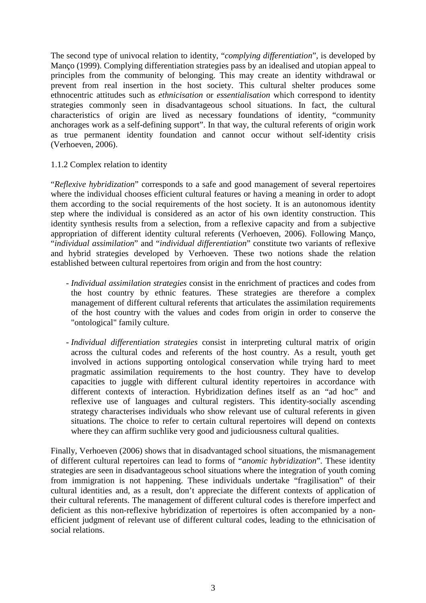The second type of univocal relation to identity, "*complying differentiation*", is developed by Manço (1999). Complying differentiation strategies pass by an idealised and utopian appeal to principles from the community of belonging. This may create an identity withdrawal or prevent from real insertion in the host society. This cultural shelter produces some ethnocentric attitudes such as *ethnicisation* or *essentialisation* which correspond to identity strategies commonly seen in disadvantageous school situations. In fact, the cultural characteristics of origin are lived as necessary foundations of identity, "community anchorages work as a self-defining support". In that way, the cultural referents of origin work as true permanent identity foundation and cannot occur without self-identity crisis (Verhoeven, 2006).

1.1.2 Complex relation to identity

"*Reflexive hybridization*" corresponds to a safe and good management of several repertoires where the individual chooses efficient cultural features or having a meaning in order to adopt them according to the social requirements of the host society. It is an autonomous identity step where the individual is considered as an actor of his own identity construction. This identity synthesis results from a selection, from a reflexive capacity and from a subjective appropriation of different identity cultural referents (Verhoeven, 2006). Following Manço, "*individual assimilation*" and "*individual differentiation*" constitute two variants of reflexive and hybrid strategies developed by Verhoeven. These two notions shade the relation established between cultural repertoires from origin and from the host country:

- *Individual assimilation strategies* consist in the enrichment of practices and codes from the host country by ethnic features. These strategies are therefore a complex management of different cultural referents that articulates the assimilation requirements of the host country with the values and codes from origin in order to conserve the "ontological" family culture.
- *Individual differentiation strategies* consist in interpreting cultural matrix of origin across the cultural codes and referents of the host country. As a result, youth get involved in actions supporting ontological conservation while trying hard to meet pragmatic assimilation requirements to the host country. They have to develop capacities to juggle with different cultural identity repertoires in accordance with different contexts of interaction. Hybridization defines itself as an "ad hoc" and reflexive use of languages and cultural registers. This identity-socially ascending strategy characterises individuals who show relevant use of cultural referents in given situations. The choice to refer to certain cultural repertoires will depend on contexts where they can affirm suchlike very good and judiciousness cultural qualities.

Finally, Verhoeven (2006) shows that in disadvantaged school situations, the mismanagement of different cultural repertoires can lead to forms of "*anomic hybridization*". These identity strategies are seen in disadvantageous school situations where the integration of youth coming from immigration is not happening. These individuals undertake "fragilisation" of their cultural identities and, as a result, don't appreciate the different contexts of application of their cultural referents. The management of different cultural codes is therefore imperfect and deficient as this non-reflexive hybridization of repertoires is often accompanied by a nonefficient judgment of relevant use of different cultural codes, leading to the ethnicisation of social relations.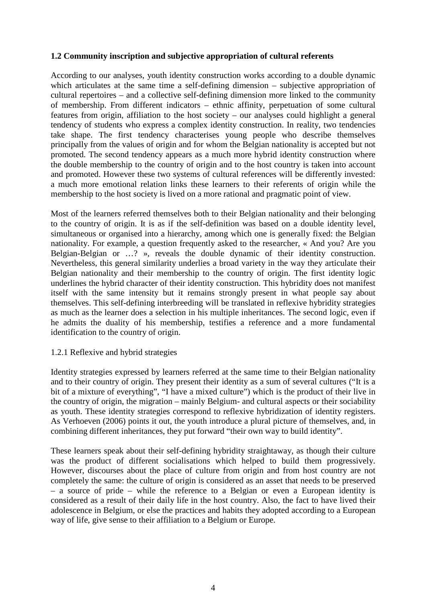# **1.2 Community inscription and subjective appropriation of cultural referents**

According to our analyses, youth identity construction works according to a double dynamic which articulates at the same time a self-defining dimension – subjective appropriation of cultural repertoires – and a collective self-defining dimension more linked to the community of membership. From different indicators – ethnic affinity, perpetuation of some cultural features from origin, affiliation to the host society – our analyses could highlight a general tendency of students who express a complex identity construction. In reality, two tendencies take shape. The first tendency characterises young people who describe themselves principally from the values of origin and for whom the Belgian nationality is accepted but not promoted. The second tendency appears as a much more hybrid identity construction where the double membership to the country of origin and to the host country is taken into account and promoted. However these two systems of cultural references will be differently invested: a much more emotional relation links these learners to their referents of origin while the membership to the host society is lived on a more rational and pragmatic point of view.

Most of the learners referred themselves both to their Belgian nationality and their belonging to the country of origin. It is as if the self-definition was based on a double identity level, simultaneous or organised into a hierarchy, among which one is generally fixed: the Belgian nationality. For example, a question frequently asked to the researcher, « And you? Are you Belgian-Belgian or …? », reveals the double dynamic of their identity construction. Nevertheless, this general similarity underlies a broad variety in the way they articulate their Belgian nationality and their membership to the country of origin. The first identity logic underlines the hybrid character of their identity construction. This hybridity does not manifest itself with the same intensity but it remains strongly present in what people say about themselves. This self-defining interbreeding will be translated in reflexive hybridity strategies as much as the learner does a selection in his multiple inheritances. The second logic, even if he admits the duality of his membership, testifies a reference and a more fundamental identification to the country of origin.

## 1.2.1 Reflexive and hybrid strategies

Identity strategies expressed by learners referred at the same time to their Belgian nationality and to their country of origin. They present their identity as a sum of several cultures ("It is a bit of a mixture of everything", "I have a mixed culture") which is the product of their live in the country of origin, the migration – mainly Belgium- and cultural aspects or their sociability as youth. These identity strategies correspond to reflexive hybridization of identity registers. As Verhoeven (2006) points it out, the youth introduce a plural picture of themselves, and, in combining different inheritances, they put forward "their own way to build identity".

These learners speak about their self-defining hybridity straightaway, as though their culture was the product of different socialisations which helped to build them progressively. However, discourses about the place of culture from origin and from host country are not completely the same: the culture of origin is considered as an asset that needs to be preserved – a source of pride – while the reference to a Belgian or even a European identity is considered as a result of their daily life in the host country. Also, the fact to have lived their adolescence in Belgium, or else the practices and habits they adopted according to a European way of life, give sense to their affiliation to a Belgium or Europe.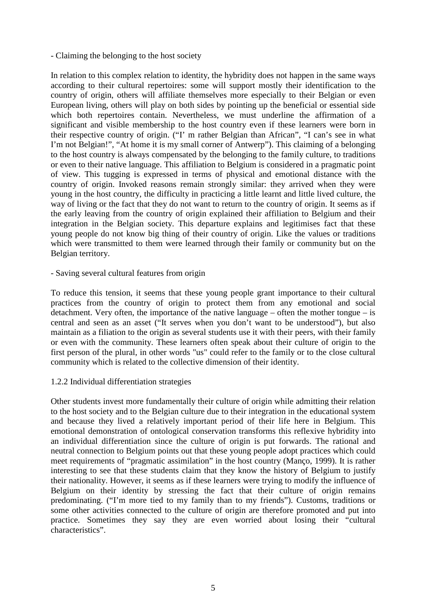## - Claiming the belonging to the host society

In relation to this complex relation to identity, the hybridity does not happen in the same ways according to their cultural repertoires: some will support mostly their identification to the country of origin, others will affiliate themselves more especially to their Belgian or even European living, others will play on both sides by pointing up the beneficial or essential side which both repertoires contain. Nevertheless, we must underline the affirmation of a significant and visible membership to the host country even if these learners were born in their respective country of origin. ("I' m rather Belgian than African", "I can's see in what I'm not Belgian!", "At home it is my small corner of Antwerp"). This claiming of a belonging to the host country is always compensated by the belonging to the family culture, to traditions or even to their native language. This affiliation to Belgium is considered in a pragmatic point of view. This tugging is expressed in terms of physical and emotional distance with the country of origin. Invoked reasons remain strongly similar: they arrived when they were young in the host country, the difficulty in practicing a little learnt and little lived culture, the way of living or the fact that they do not want to return to the country of origin. It seems as if the early leaving from the country of origin explained their affiliation to Belgium and their integration in the Belgian society. This departure explains and legitimises fact that these young people do not know big thing of their country of origin. Like the values or traditions which were transmitted to them were learned through their family or community but on the Belgian territory.

#### - Saving several cultural features from origin

To reduce this tension, it seems that these young people grant importance to their cultural practices from the country of origin to protect them from any emotional and social detachment. Very often, the importance of the native language – often the mother tongue – is central and seen as an asset ("It serves when you don't want to be understood"), but also maintain as a filiation to the origin as several students use it with their peers, with their family or even with the community. These learners often speak about their culture of origin to the first person of the plural, in other words "us" could refer to the family or to the close cultural community which is related to the collective dimension of their identity.

## 1.2.2 Individual differentiation strategies

Other students invest more fundamentally their culture of origin while admitting their relation to the host society and to the Belgian culture due to their integration in the educational system and because they lived a relatively important period of their life here in Belgium. This emotional demonstration of ontological conservation transforms this reflexive hybridity into an individual differentiation since the culture of origin is put forwards. The rational and neutral connection to Belgium points out that these young people adopt practices which could meet requirements of "pragmatic assimilation" in the host country (Manço, 1999). It is rather interesting to see that these students claim that they know the history of Belgium to justify their nationality. However, it seems as if these learners were trying to modify the influence of Belgium on their identity by stressing the fact that their culture of origin remains predominating. ("I'm more tied to my family than to my friends"). Customs, traditions or some other activities connected to the culture of origin are therefore promoted and put into practice. Sometimes they say they are even worried about losing their "cultural characteristics".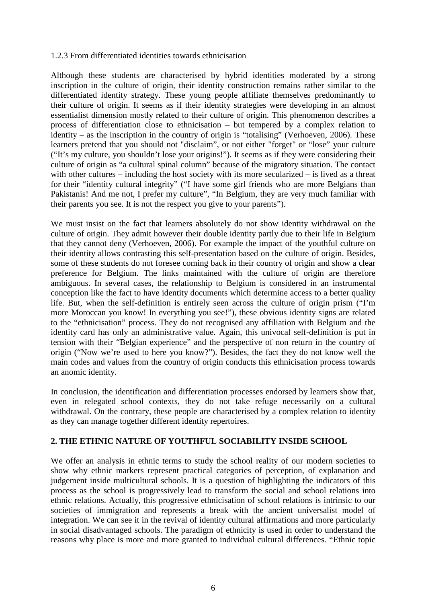## 1.2.3 From differentiated identities towards ethnicisation

Although these students are characterised by hybrid identities moderated by a strong inscription in the culture of origin, their identity construction remains rather similar to the differentiated identity strategy. These young people affiliate themselves predominantly to their culture of origin. It seems as if their identity strategies were developing in an almost essentialist dimension mostly related to their culture of origin. This phenomenon describes a process of differentiation close to ethnicisation – but tempered by a complex relation to identity – as the inscription in the country of origin is "totalising" (Verhoeven, 2006). These learners pretend that you should not "disclaim", or not either "forget" or "lose" your culture ("It's my culture, you shouldn't lose your origins!"). It seems as if they were considering their culture of origin as "a cultural spinal column" because of the migratory situation. The contact with other cultures – including the host society with its more secularized – is lived as a threat for their "identity cultural integrity" ("I have some girl friends who are more Belgians than Pakistanis! And me not, I prefer my culture", "In Belgium, they are very much familiar with their parents you see. It is not the respect you give to your parents").

We must insist on the fact that learners absolutely do not show identity withdrawal on the culture of origin. They admit however their double identity partly due to their life in Belgium that they cannot deny (Verhoeven, 2006). For example the impact of the youthful culture on their identity allows contrasting this self-presentation based on the culture of origin. Besides, some of these students do not foresee coming back in their country of origin and show a clear preference for Belgium. The links maintained with the culture of origin are therefore ambiguous. In several cases, the relationship to Belgium is considered in an instrumental conception like the fact to have identity documents which determine access to a better quality life. But, when the self-definition is entirely seen across the culture of origin prism ("I'm more Moroccan you know! In everything you see!"), these obvious identity signs are related to the "ethnicisation" process. They do not recognised any affiliation with Belgium and the identity card has only an administrative value. Again, this univocal self-definition is put in tension with their "Belgian experience" and the perspective of non return in the country of origin ("Now we're used to here you know?"). Besides, the fact they do not know well the main codes and values from the country of origin conducts this ethnicisation process towards an anomic identity.

In conclusion, the identification and differentiation processes endorsed by learners show that, even in relegated school contexts, they do not take refuge necessarily on a cultural withdrawal. On the contrary, these people are characterised by a complex relation to identity as they can manage together different identity repertoires.

# **2. THE ETHNIC NATURE OF YOUTHFUL SOCIABILITY INSIDE SCHOOL**

We offer an analysis in ethnic terms to study the school reality of our modern societies to show why ethnic markers represent practical categories of perception, of explanation and judgement inside multicultural schools. It is a question of highlighting the indicators of this process as the school is progressively lead to transform the social and school relations into ethnic relations. Actually, this progressive ethnicisation of school relations is intrinsic to our societies of immigration and represents a break with the ancient universalist model of integration. We can see it in the revival of identity cultural affirmations and more particularly in social disadvantaged schools. The paradigm of ethnicity is used in order to understand the reasons why place is more and more granted to individual cultural differences. "Ethnic topic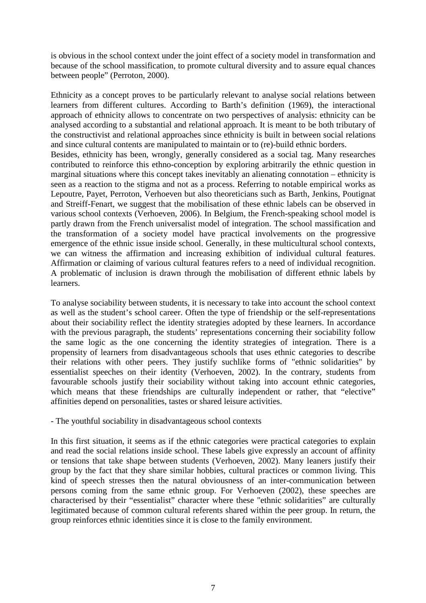is obvious in the school context under the joint effect of a society model in transformation and because of the school massification, to promote cultural diversity and to assure equal chances between people" (Perroton, 2000).

Ethnicity as a concept proves to be particularly relevant to analyse social relations between learners from different cultures. According to Barth's definition (1969), the interactional approach of ethnicity allows to concentrate on two perspectives of analysis: ethnicity can be analysed according to a substantial and relational approach. It is meant to be both tributary of the constructivist and relational approaches since ethnicity is built in between social relations and since cultural contents are manipulated to maintain or to (re)-build ethnic borders. Besides, ethnicity has been, wrongly, generally considered as a social tag. Many researches contributed to reinforce this ethno-conception by exploring arbitrarily the ethnic question in marginal situations where this concept takes inevitably an alienating connotation – ethnicity is seen as a reaction to the stigma and not as a process. Referring to notable empirical works as Lepoutre, Payet, Perroton, Verhoeven but also theoreticians such as Barth, Jenkins, Poutignat and Streiff-Fenart, we suggest that the mobilisation of these ethnic labels can be observed in various school contexts (Verhoeven, 2006). In Belgium, the French-speaking school model is partly drawn from the French universalist model of integration. The school massification and the transformation of a society model have practical involvements on the progressive emergence of the ethnic issue inside school. Generally, in these multicultural school contexts, we can witness the affirmation and increasing exhibition of individual cultural features. Affirmation or claiming of various cultural features refers to a need of individual recognition. A problematic of inclusion is drawn through the mobilisation of different ethnic labels by learners.

To analyse sociability between students, it is necessary to take into account the school context as well as the student's school career. Often the type of friendship or the self-representations about their sociability reflect the identity strategies adopted by these learners. In accordance with the previous paragraph, the students' representations concerning their sociability follow the same logic as the one concerning the identity strategies of integration. There is a propensity of learners from disadvantageous schools that uses ethnic categories to describe their relations with other peers. They justify suchlike forms of "ethnic solidarities" by essentialist speeches on their identity (Verhoeven, 2002). In the contrary, students from favourable schools justify their sociability without taking into account ethnic categories, which means that these friendships are culturally independent or rather, that "elective" affinities depend on personalities, tastes or shared leisure activities.

- The youthful sociability in disadvantageous school contexts

In this first situation, it seems as if the ethnic categories were practical categories to explain and read the social relations inside school. These labels give expressly an account of affinity or tensions that take shape between students (Verhoeven, 2002). Many leaners justify their group by the fact that they share similar hobbies, cultural practices or common living. This kind of speech stresses then the natural obviousness of an inter-communication between persons coming from the same ethnic group. For Verhoeven (2002), these speeches are characterised by their "essentialist" character where these "ethnic solidarities" are culturally legitimated because of common cultural referents shared within the peer group. In return, the group reinforces ethnic identities since it is close to the family environment.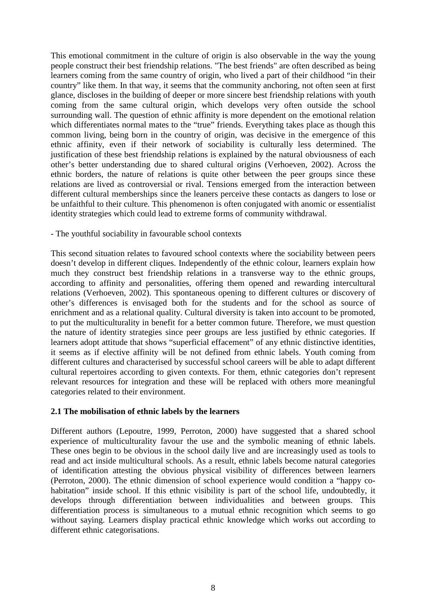This emotional commitment in the culture of origin is also observable in the way the young people construct their best friendship relations. "The best friends" are often described as being learners coming from the same country of origin, who lived a part of their childhood "in their country" like them. In that way, it seems that the community anchoring, not often seen at first glance, discloses in the building of deeper or more sincere best friendship relations with youth coming from the same cultural origin, which develops very often outside the school surrounding wall. The question of ethnic affinity is more dependent on the emotional relation which differentiates normal mates to the "true" friends. Everything takes place as though this common living, being born in the country of origin, was decisive in the emergence of this ethnic affinity, even if their network of sociability is culturally less determined. The justification of these best friendship relations is explained by the natural obviousness of each other's better understanding due to shared cultural origins (Verhoeven, 2002). Across the ethnic borders, the nature of relations is quite other between the peer groups since these relations are lived as controversial or rival. Tensions emerged from the interaction between different cultural memberships since the leaners perceive these contacts as dangers to lose or be unfaithful to their culture. This phenomenon is often conjugated with anomic or essentialist identity strategies which could lead to extreme forms of community withdrawal.

# - The youthful sociability in favourable school contexts

This second situation relates to favoured school contexts where the sociability between peers doesn't develop in different cliques. Independently of the ethnic colour, learners explain how much they construct best friendship relations in a transverse way to the ethnic groups, according to affinity and personalities, offering them opened and rewarding intercultural relations (Verhoeven, 2002). This spontaneous opening to different cultures or discovery of other's differences is envisaged both for the students and for the school as source of enrichment and as a relational quality. Cultural diversity is taken into account to be promoted, to put the multiculturality in benefit for a better common future. Therefore, we must question the nature of identity strategies since peer groups are less justified by ethnic categories. If learners adopt attitude that shows "superficial effacement" of any ethnic distinctive identities, it seems as if elective affinity will be not defined from ethnic labels. Youth coming from different cultures and characterised by successful school careers will be able to adapt different cultural repertoires according to given contexts. For them, ethnic categories don't represent relevant resources for integration and these will be replaced with others more meaningful categories related to their environment.

## **2.1 The mobilisation of ethnic labels by the learners**

Different authors (Lepoutre, 1999, Perroton, 2000) have suggested that a shared school experience of multiculturality favour the use and the symbolic meaning of ethnic labels. These ones begin to be obvious in the school daily live and are increasingly used as tools to read and act inside multicultural schools. As a result, ethnic labels become natural categories of identification attesting the obvious physical visibility of differences between learners (Perroton, 2000). The ethnic dimension of school experience would condition a "happy cohabitation" inside school. If this ethnic visibility is part of the school life, undoubtedly, it develops through differentiation between individualities and between groups. This differentiation process is simultaneous to a mutual ethnic recognition which seems to go without saying. Learners display practical ethnic knowledge which works out according to different ethnic categorisations.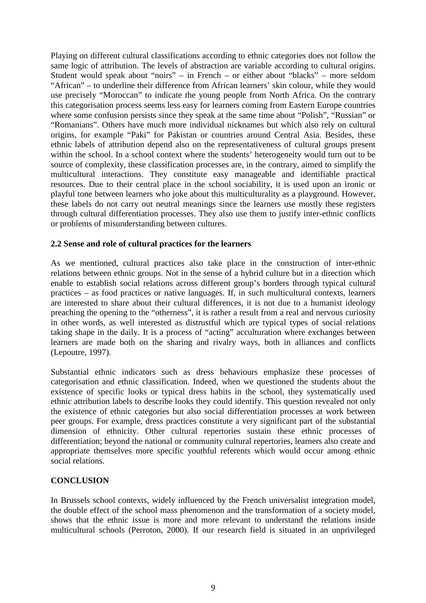Playing on different cultural classifications according to ethnic categories does not follow the same logic of attribution. The levels of abstraction are variable according to cultural origins. Student would speak about "noirs" – in French – or either about "blacks" – more seldom "African" – to underline their difference from African learners' skin colour, while they would use precisely "Moroccan" to indicate the young people from North Africa. On the contrary this categorisation process seems less easy for learners coming from Eastern Europe countries where some confusion persists since they speak at the same time about "Polish", "Russian" or "Romanians". Others have much more individual nicknames but which also rely on cultural origins, for example "Paki" for Pakistan or countries around Central Asia. Besides, these ethnic labels of attribution depend also on the representativeness of cultural groups present within the school. In a school context where the students' heterogeneity would turn out to be source of complexity, these classification processes are, in the contrary, aimed to simplify the multicultural interactions. They constitute easy manageable and identifiable practical resources. Due to their central place in the school sociability, it is used upon an ironic or playful tone between learners who joke about this multiculturality as a playground. However, these labels do not carry out neutral meanings since the learners use mostly these registers through cultural differentiation processes. They also use them to justify inter-ethnic conflicts or problems of misunderstanding between cultures.

# **2.2 Sense and role of cultural practices for the learners**

As we mentioned, cultural practices also take place in the construction of inter-ethnic relations between ethnic groups. Not in the sense of a hybrid culture but in a direction which enable to establish social relations across different group's borders through typical cultural practices – as food practices or native languages. If, in such multicultural contexts, learners are interested to share about their cultural differences, it is not due to a humanist ideology preaching the opening to the "otherness", it is rather a result from a real and nervous curiosity in other words, as well interested as distrustful which are typical types of social relations taking shape in the daily. It is a process of "acting" acculturation where exchanges between learners are made both on the sharing and rivalry ways, both in alliances and conflicts (Lepoutre, 1997).

Substantial ethnic indicators such as dress behaviours emphasize these processes of categorisation and ethnic classification. Indeed, when we questioned the students about the existence of specific looks or typical dress habits in the school, they systematically used ethnic attribution labels to describe looks they could identify. This question revealed not only the existence of ethnic categories but also social differentiation processes at work between peer groups. For example, dress practices constitute a very significant part of the substantial dimension of ethnicity. Other cultural repertories sustain these ethnic processes of differentiation; beyond the national or community cultural repertories, learners also create and appropriate themselves more specific youthful referents which would occur among ethnic social relations.

## **CONCLUSION**

In Brussels school contexts, widely influenced by the French universalist integration model, the double effect of the school mass phenomenon and the transformation of a society model, shows that the ethnic issue is more and more relevant to understand the relations inside multicultural schools (Perroton, 2000). If our research field is situated in an unprivileged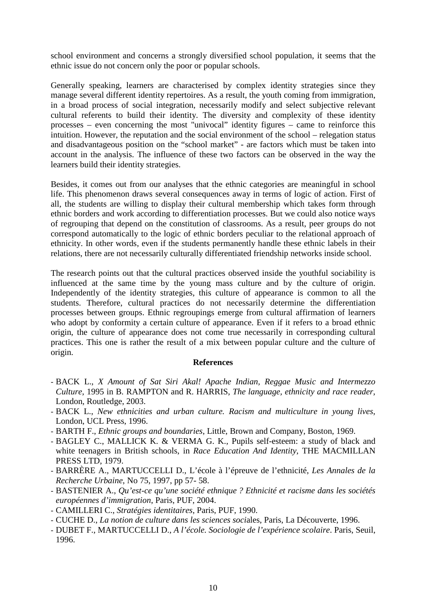school environment and concerns a strongly diversified school population, it seems that the ethnic issue do not concern only the poor or popular schools.

Generally speaking, learners are characterised by complex identity strategies since they manage several different identity repertoires. As a result, the youth coming from immigration, in a broad process of social integration, necessarily modify and select subjective relevant cultural referents to build their identity. The diversity and complexity of these identity processes – even concerning the most "univocal" identity figures – came to reinforce this intuition. However, the reputation and the social environment of the school – relegation status and disadvantageous position on the "school market" - are factors which must be taken into account in the analysis. The influence of these two factors can be observed in the way the learners build their identity strategies.

Besides, it comes out from our analyses that the ethnic categories are meaningful in school life. This phenomenon draws several consequences away in terms of logic of action. First of all, the students are willing to display their cultural membership which takes form through ethnic borders and work according to differentiation processes. But we could also notice ways of regrouping that depend on the constitution of classrooms. As a result, peer groups do not correspond automatically to the logic of ethnic borders peculiar to the relational approach of ethnicity. In other words, even if the students permanently handle these ethnic labels in their relations, there are not necessarily culturally differentiated friendship networks inside school.

The research points out that the cultural practices observed inside the youthful sociability is influenced at the same time by the young mass culture and by the culture of origin. Independently of the identity strategies, this culture of appearance is common to all the students. Therefore, cultural practices do not necessarily determine the differentiation processes between groups. Ethnic regroupings emerge from cultural affirmation of learners who adopt by conformity a certain culture of appearance. Even if it refers to a broad ethnic origin, the culture of appearance does not come true necessarily in corresponding cultural practices. This one is rather the result of a mix between popular culture and the culture of origin.

#### **References**

- BACK L., *X Amount of Sat Siri Akal! Apache Indian, Reggae Music and Intermezzo Culture*, 1995 in B. RAMPTON and R. HARRIS, *The language, ethnicity and race reader*, London, Routledge, 2003.
- BACK L., *New ethnicities and urban culture. Racism and multiculture in young lives*, London, UCL Press, 1996.
- BARTH F., *Ethnic groups and boundaries*, Little, Brown and Company, Boston, 1969.
- BAGLEY C., MALLICK K. & VERMA G. K., Pupils self-esteem: a study of black and white teenagers in British schools, in *Race Education And Identity*, THE MACMILLAN PRESS LTD, 1979.
- BARRÈRE A., MARTUCCELLI D., L'école à l'épreuve de l'ethnicité, *Les Annales de la Recherche Urbaine*, No 75, 1997, pp 57- 58.
- BASTENIER A., *Qu'est-ce qu'une société ethnique ? Ethnicité et racisme dans les sociétés européennes d'immigration*, Paris, PUF, 2004.
- CAMILLERI C., *Stratégies identitaires*, Paris, PUF, 1990.
- CUCHE D., *La notion de culture dans les sciences soci*ales, Paris, La Découverte, 1996.
- DUBET F., MARTUCCELLI D., *A l'école. Sociologie de l'expérience scolaire*. Paris, Seuil, 1996.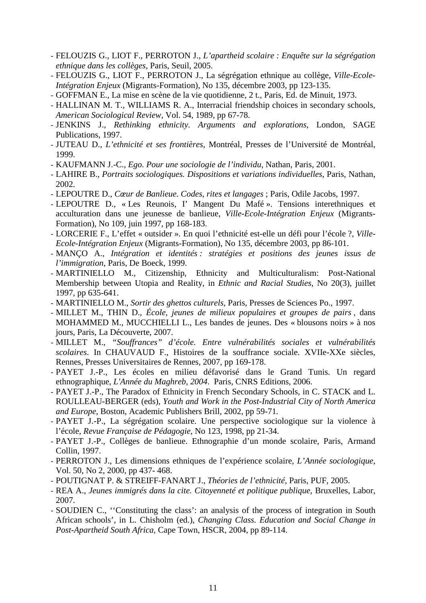- FELOUZIS G., LIOT F., PERROTON J., *L'apartheid scolaire : Enquête sur la ségrégation ethnique dans les collèges*, Paris, Seuil, 2005.
- FELOUZIS G., LIOT F., PERROTON J., La ségrégation ethnique au collège, *Ville-Ecole-Intégration Enjeux* (Migrants-Formation), No 135, décembre 2003, pp 123-135.
- GOFFMAN E., La mise en scène de la vie quotidienne, 2 t., Paris, Ed. de Minuit, 1973.
- HALLINAN M. T., WILLIAMS R. A., Interracial friendship choices in secondary schools, *American Sociological Review*, Vol. 54, 1989, pp 67-78.
- JENKINS J., *Rethinking ethnicity. Arguments and explorations*, London, SAGE Publications, 1997.
- JUTEAU D., *L'ethnicité et ses frontières*, Montréal, Presses de l'Université de Montréal, 1999.
- KAUFMANN J.-C., *Ego. Pour une sociologie de l'individu*, Nathan, Paris, 2001.
- LAHIRE B., *Portraits sociologiques. Dispositions et variations individuelles*, Paris, Nathan, 2002.
- LEPOUTRE D., *Cœur de Banlieue. Codes, rites et langages* ; Paris, Odile Jacobs, 1997.
- LEPOUTRE D., « Les Reunois, I' Mangent Du Mafé ». Tensions interethniques et acculturation dans une jeunesse de banlieue, *Ville-Ecole-Intégration Enjeux* (Migrants-Formation), No 109, juin 1997, pp 168-183.
- LORCERIE F., L'effet « outsider ». En quoi l'ethnicité est-elle un défi pour l'école ?, *Ville-Ecole-Intégration Enjeux* (Migrants-Formation), No 135, décembre 2003, pp 86-101.
- MANÇO A., *Intégration et identités : stratégies et positions des jeunes issus de l'immigration*, Paris, De Boeck, 1999.
- MARTINIELLO M., Citizenship, Ethnicity and Multiculturalism: Post-National Membership between Utopia and Reality, in *Ethnic and Racial Studies*, No 20(3), juillet 1997, pp 635-641.
- MARTINIELLO M., *Sortir des ghettos culturels*, Paris, Presses de Sciences Po., 1997.
- MILLET M., THIN D., *École, jeunes de milieux populaires et groupes de pairs* , dans MOHAMMED M., MUCCHIELLI L., Les bandes de jeunes. Des « blousons noirs » à nos jours, Paris, La Découverte, 2007.
- MILLET M., *"Souffrances" d'école. Entre vulnérabilités sociales et vulnérabilités scolaires*. In CHAUVAUD F., Histoires de la souffrance sociale. XVIIe-XXe siècles, Rennes, Presses Universitaires de Rennes, 2007, pp 169-178.
- PAYET J.-P., Les écoles en milieu défavorisé dans le Grand Tunis. Un regard ethnographique, *L'Année du Maghreb, 2004*. Paris, CNRS Editions, 2006.
- PAYET J.-P., The Paradox of Ethnicity in French Secondary Schools, in C. STACK and L. ROULLEAU-BERGER (eds), *Youth and Work in the Post-Industrial City of North America and Europe,* Boston, Academic Publishers Brill, 2002, pp 59-71*.*
- PAYET J.-P., La ségrégation scolaire. Une perspective sociologique sur la violence à l'école, *Revue Française de Pédagogie*, No 123, 1998, pp 21-34.
- PAYET J.-P., Collèges de banlieue. Ethnographie d'un monde scolaire, Paris, Armand Collin, 1997.
- PERROTON J., Les dimensions ethniques de l'expérience scolaire, *L'Année sociologique*, Vol. 50, No 2, 2000, pp 437- 468.
- POUTIGNAT P. & STREIFF-FANART J., *Théories de l'ethnicité*, Paris, PUF, 2005.
- REA A., *Jeunes immigrés dans la cite. Citoyenneté et politique publique*, Bruxelles, Labor, 2007.
- SOUDIEN C., ''Constituting the class': an analysis of the process of integration in South African schools', in L. Chisholm (ed.), *Changing Class. Education and Social Change in Post-Apartheid South Africa,* Cape Town, HSCR, 2004, pp 89-114.